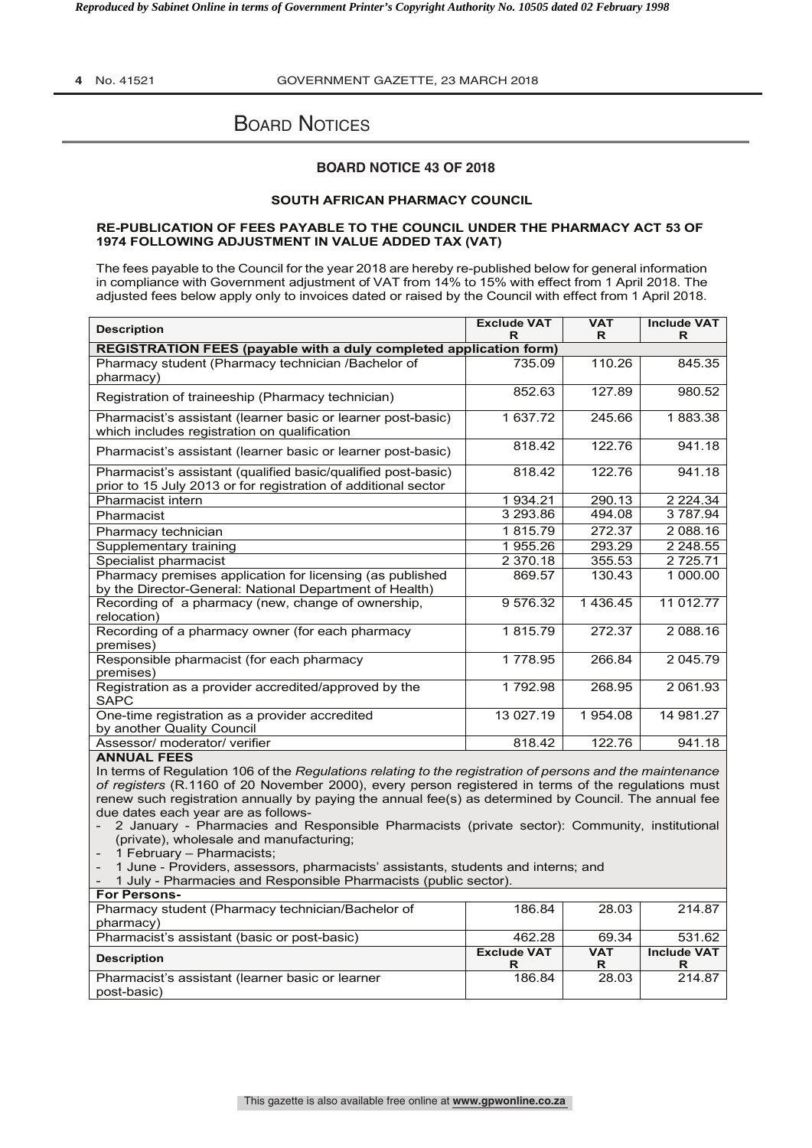*Reproduced by Sabinet Online in terms of Government Printer's Copyright Authority No. 10505 dated 02 February 1998* 

**4** No. 41521 GOVERNMENT GAZETTE, 23 MARCH 2018

# **BOARD NOTICES**

## **BOARD NOTICE 43 OF 2018**

### **SOUTH AFRICAN PHARMACY COUNCIL**

#### **RE-PUBLICATION OF FEES PAYABLE TO THE COUNCIL UNDER THE PHARMACY ACT 53 OF 1974 FOLLOWING ADJUSTMENT IN VALUE ADDED TAX (VAT)**

The fees payable to the Council for the year 2018 are hereby re-published below for general information in compliance with Government adjustment of VAT from 14% to 15% with effect from 1 April 2018. The adjusted fees below apply only to invoices dated or raised by the Council with effect from 1 April 2018.

| <b>Description</b>                                                                                                              | <b>Exclude VAT</b><br>R | <b>VAT</b><br>R       | <b>Include VAT</b><br>R |
|---------------------------------------------------------------------------------------------------------------------------------|-------------------------|-----------------------|-------------------------|
| REGISTRATION FEES (payable with a duly completed application form)                                                              |                         |                       |                         |
| Pharmacy student (Pharmacy technician /Bachelor of<br>pharmacy)                                                                 | 735.09                  | 110.26                | 845.35                  |
| Registration of traineeship (Pharmacy technician)                                                                               | 852.63                  | 127.89                | 980.52                  |
| Pharmacist's assistant (learner basic or learner post-basic)<br>which includes registration on qualification                    | 1 637.72                | 245.66                | 1883.38                 |
| Pharmacist's assistant (learner basic or learner post-basic)                                                                    | 818.42                  | 122.76                | 941.18                  |
| Pharmacist's assistant (qualified basic/qualified post-basic)<br>prior to 15 July 2013 or for registration of additional sector | 818.42                  | 122.76                | 941.18                  |
| Pharmacist intern                                                                                                               | 1 934.21                | 290.13                | 2 2 2 4 . 3 4           |
| Pharmacist                                                                                                                      | 3 293.86                | 494.08                | 3 787.94                |
| Pharmacy technician                                                                                                             | 1815.79                 | 272.37                | 2 088.16                |
| Supplementary training                                                                                                          | 1 955.26                | 293.29                | 2 2 4 8 .5 5            |
| Specialist pharmacist                                                                                                           | 2 370.18                | 355.53                | 2 7 2 5 . 7 1           |
| Pharmacy premises application for licensing (as published<br>by the Director-General: National Department of Health)            | 869.57                  | 130.43                | 1 000.00                |
| Recording of a pharmacy (new, change of ownership,<br>relocation)                                                               | 9 576.32                | $\overline{1}$ 436.45 | 11 012.77               |
| Recording of a pharmacy owner (for each pharmacy<br>premises)                                                                   | 1815.79                 | 272.37                | 2 088.16                |
| Responsible pharmacist (for each pharmacy<br>premises)                                                                          | 1 778.95                | 266.84                | 2 045.79                |
| Registration as a provider accredited/approved by the<br><b>SAPC</b>                                                            | 1792.98                 | 268.95                | 2 061.93                |
| One-time registration as a provider accredited<br>by another Quality Council                                                    | 13 027.19               | 1 954.08              | 14 981.27               |
| Assessor/ moderator/ verifier                                                                                                   | 818.42                  | 122.76                | 941.18                  |

#### **ANNUAL FEES**

In terms of Regulation 106 of the *Regulations relating to the registration of persons and the maintenance of registers* (R.1160 of 20 November 2000), every person registered in terms of the regulations must renew such registration annually by paying the annual fee(s) as determined by Council. The annual fee due dates each year are as follows-

- 2 January - Pharmacies and Responsible Pharmacists (private sector): Community, institutional (private), wholesale and manufacturing;

1 February – Pharmacists;

- 1 June - Providers, assessors, pharmacists' assistants, students and interns; and

- 1 July - Pharmacies and Responsible Pharmacists (public sector).

| <b>For Persons-</b>                               |                    |            |                    |
|---------------------------------------------------|--------------------|------------|--------------------|
| Pharmacy student (Pharmacy technician/Bachelor of | 186.84             | 28.03      | 214.87             |
| pharmacy)                                         |                    |            |                    |
| Pharmacist's assistant (basic or post-basic)      | 462.28             | 69.34      | 531.62             |
| <b>Description</b>                                | <b>Exclude VAT</b> | <b>VAT</b> | <b>Include VAT</b> |
|                                                   |                    | R          |                    |
| Pharmacist's assistant (learner basic or learner  | 186.84             | 28.03      | 214.87             |
| post-basic)                                       |                    |            |                    |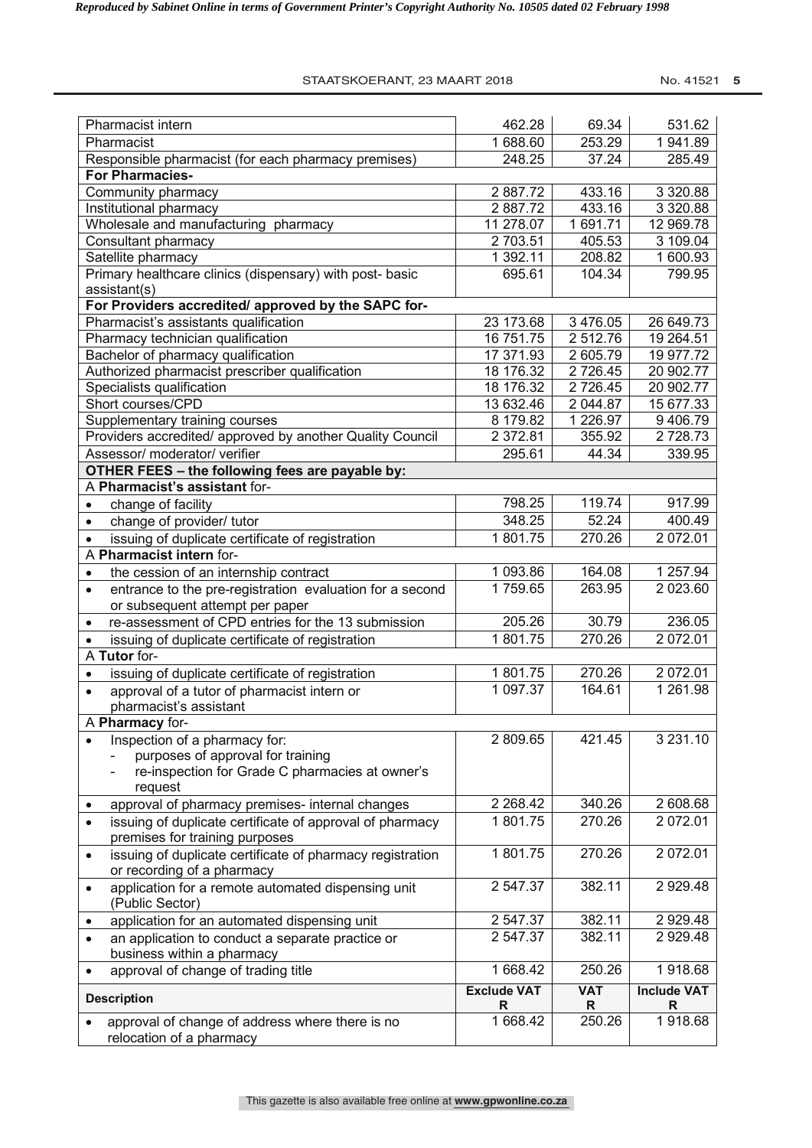## STAATSKOERANT, 23 MAART 2018 No. 41521 5

| Pharmacist intern                                                                                    | 462.28                  | 69.34           | 531.62                  |
|------------------------------------------------------------------------------------------------------|-------------------------|-----------------|-------------------------|
| Pharmacist                                                                                           | 1 688.60                | 253.29          | 1941.89                 |
| Responsible pharmacist (for each pharmacy premises)                                                  | 248.25                  | 37.24           | 285.49                  |
| <b>For Pharmacies-</b>                                                                               |                         |                 |                         |
| Community pharmacy                                                                                   | 2887.72                 | 433.16          | 3 3 2 0.88              |
| Institutional pharmacy                                                                               | 2887.72                 | 433.16          | 3 3 2 0.88              |
| Wholesale and manufacturing pharmacy                                                                 | 11 278.07               | 1 691.71        | 12 969.78               |
| Consultant pharmacy                                                                                  | 2 703.51                | 405.53          | 3 109.04                |
| Satellite pharmacy                                                                                   | 1 392.11                | 208.82          | 1 600.93                |
| Primary healthcare clinics (dispensary) with post- basic                                             | 695.61                  | 104.34          | 799.95                  |
| assistant(s)                                                                                         |                         |                 |                         |
| For Providers accredited/ approved by the SAPC for-                                                  |                         |                 |                         |
| Pharmacist's assistants qualification                                                                | 23 173.68               | 3 476.05        | 26 649.73               |
| Pharmacy technician qualification                                                                    | 16 751.75               | 2 512.76        | 19 264.51               |
| Bachelor of pharmacy qualification                                                                   | 17 371.93               | 2 605.79        | 19 977.72               |
| Authorized pharmacist prescriber qualification                                                       | 18 176.32               | 2 726.45        | 20 902.77               |
| Specialists qualification                                                                            | 18 176.32               | 2 726.45        | 20 902.77               |
| Short courses/CPD                                                                                    | 13 632.46               | 2 044.87        | 15 677.33               |
| Supplementary training courses                                                                       | 8 179.82                | 1 2 2 6 . 9 7   | 9 406.79                |
| Providers accredited/ approved by another Quality Council                                            | 2 372.81                | 355.92          | 2728.73                 |
| Assessor/ moderator/ verifier                                                                        | 295.61                  | 44.34           | 339.95                  |
| OTHER FEES - the following fees are payable by:                                                      |                         |                 |                         |
| A Pharmacist's assistant for-                                                                        |                         |                 |                         |
| change of facility<br>$\bullet$                                                                      | 798.25                  | 119.74          | 917.99                  |
| change of provider/ tutor<br>$\bullet$                                                               | 348.25                  | 52.24           | 400.49                  |
| issuing of duplicate certificate of registration                                                     | 1801.75                 | 270.26          | 2 072.01                |
| A Pharmacist intern for-                                                                             |                         |                 |                         |
| the cession of an internship contract<br>$\bullet$                                                   | 1 093.86                | 164.08          | 1 257.94                |
| entrance to the pre-registration evaluation for a second<br>$\bullet$                                | 1759.65                 | 263.95          | 2 023.60                |
| or subsequent attempt per paper                                                                      |                         |                 |                         |
| re-assessment of CPD entries for the 13 submission<br>$\bullet$                                      | 205.26                  | 30.79           | 236.05                  |
| issuing of duplicate certificate of registration                                                     | 1801.75                 | 270.26          | $\overline{2}$ 072.01   |
| A Tutor for-                                                                                         |                         |                 |                         |
| issuing of duplicate certificate of registration<br>$\bullet$                                        | 1801.75                 | 270.26          | 2 072.01                |
| approval of a tutor of pharmacist intern or                                                          | 1 097.37                | 164.61          | 1 261.98                |
| pharmacist's assistant                                                                               |                         |                 |                         |
| A Pharmacy for-                                                                                      |                         |                 |                         |
| Inspection of a pharmacy for:                                                                        | 2 809.65                | 421.45          | 3 2 3 1 . 1 0           |
| purposes of approval for training                                                                    |                         |                 |                         |
| re-inspection for Grade C pharmacies at owner's                                                      |                         |                 |                         |
| request                                                                                              |                         |                 |                         |
| approval of pharmacy premises- internal changes<br>٠                                                 | 2 2 68.42               | 340.26          | 2 608.68                |
| issuing of duplicate certificate of approval of pharmacy<br>premises for training purposes           | 1801.75                 | 270.26          | 2 072.01                |
| issuing of duplicate certificate of pharmacy registration<br>$\bullet$<br>or recording of a pharmacy | 1801.75                 | 270.26          | 2 072.01                |
| application for a remote automated dispensing unit<br>$\bullet$<br>(Public Sector)                   | 2 547.37                | 382.11          | 2 9 2 9.48              |
| application for an automated dispensing unit<br>$\bullet$                                            | 2 547.37                | 382.11          | 2 9 2 9.48              |
| an application to conduct a separate practice or<br>$\bullet$<br>business within a pharmacy          | 2 547.37                | 382.11          | 2 9 2 9.48              |
| approval of change of trading title<br>$\bullet$                                                     | 1 668.42                | 250.26          | 1918.68                 |
| <b>Description</b>                                                                                   | <b>Exclude VAT</b><br>R | <b>VAT</b><br>R | <b>Include VAT</b><br>R |
| approval of change of address where there is no<br>$\bullet$<br>relocation of a pharmacy             | 1 668.42                | 250.26          | 1918.68                 |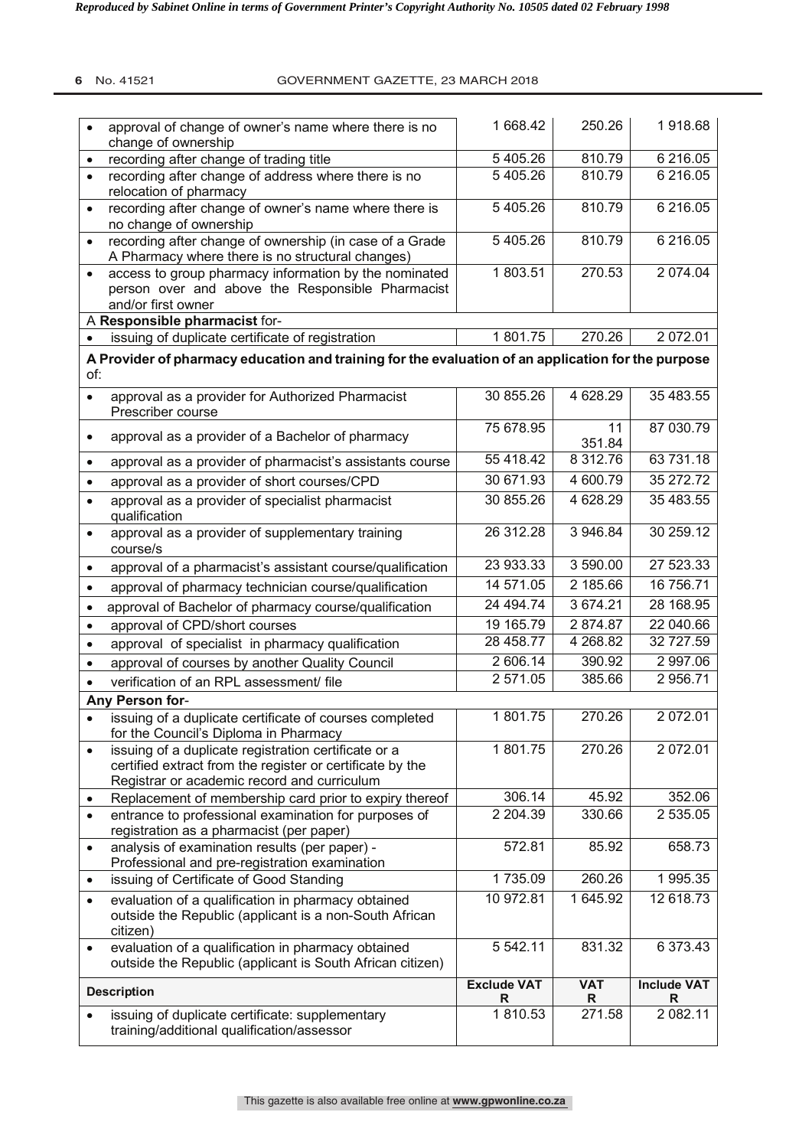## **6** No. 41521 GOVERNMENT GAZETTE, 23 MARCH 2018

| $\bullet$ | approval of change of owner's name where there is no<br>change of ownership                                                                                      | 1 668.42                | 250.26          | 1918.68                 |
|-----------|------------------------------------------------------------------------------------------------------------------------------------------------------------------|-------------------------|-----------------|-------------------------|
| $\bullet$ | recording after change of trading title                                                                                                                          | 5 405.26                | 810.79          | 6 216.05                |
| $\bullet$ | recording after change of address where there is no<br>relocation of pharmacy                                                                                    | 5 405.26                | 810.79          | 6 216.05                |
| $\bullet$ | recording after change of owner's name where there is<br>no change of ownership                                                                                  | 5 405.26                | 810.79          | 6 216.05                |
| $\bullet$ | recording after change of ownership (in case of a Grade<br>A Pharmacy where there is no structural changes)                                                      | 5 405.26                | 810.79          | 6 216.05                |
| $\bullet$ | access to group pharmacy information by the nominated<br>person over and above the Responsible Pharmacist<br>and/or first owner                                  | 1803.51                 | 270.53          | 2 074.04                |
|           | A Responsible pharmacist for-                                                                                                                                    |                         |                 |                         |
| $\bullet$ | issuing of duplicate certificate of registration                                                                                                                 | 1801.75                 | 270.26          | 2 072.01                |
| of:       | A Provider of pharmacy education and training for the evaluation of an application for the purpose                                                               |                         |                 |                         |
| $\bullet$ | approval as a provider for Authorized Pharmacist<br>Prescriber course                                                                                            | 30 855.26               | 4 628.29        | 35 483.55               |
| $\bullet$ | approval as a provider of a Bachelor of pharmacy                                                                                                                 | 75 678.95               | 11<br>351.84    | 87 030.79               |
| $\bullet$ | approval as a provider of pharmacist's assistants course                                                                                                         | 55 418.42               | 8 312.76        | 63 731.18               |
| $\bullet$ | approval as a provider of short courses/CPD                                                                                                                      | 30 671.93               | 4 600.79        | 35 272.72               |
| $\bullet$ | approval as a provider of specialist pharmacist<br>qualification                                                                                                 | 30 855.26               | 4 628.29        | 35 483.55               |
| $\bullet$ | approval as a provider of supplementary training<br>course/s                                                                                                     | 26 312.28               | 3 946.84        | 30 259.12               |
| $\bullet$ | approval of a pharmacist's assistant course/qualification                                                                                                        | 23 933.33               | 3 590.00        | 27 523.33               |
| $\bullet$ | approval of pharmacy technician course/qualification                                                                                                             | 14 571.05               | 2 185.66        | 16 756.71               |
| $\bullet$ | approval of Bachelor of pharmacy course/qualification                                                                                                            | 24 494.74               | 3 674.21        | 28 168.95               |
| $\bullet$ | approval of CPD/short courses                                                                                                                                    | 19 165.79               | 2874.87         | 22 040.66               |
| $\bullet$ | approval of specialist in pharmacy qualification                                                                                                                 | 28 458.77               | 4 268.82        | 32 727.59               |
| $\bullet$ | approval of courses by another Quality Council                                                                                                                   | 2 606.14                | 390.92          | 2 997.06                |
|           | verification of an RPL assessment/ file                                                                                                                          | 2 571.05                | 385.66          | 2 956.71                |
|           | Any Person for-                                                                                                                                                  |                         |                 |                         |
|           | issuing of a duplicate certificate of courses completed<br>for the Council's Diploma in Pharmacy                                                                 | 1801.75                 | 270.26          | 2 072.01                |
| $\bullet$ | issuing of a duplicate registration certificate or a<br>certified extract from the register or certificate by the<br>Registrar or academic record and curriculum | 1801.75                 | 270.26          | 2 072.01                |
| ٠         | Replacement of membership card prior to expiry thereof                                                                                                           | 306.14                  | 45.92           | 352.06                  |
| $\bullet$ | entrance to professional examination for purposes of<br>registration as a pharmacist (per paper)                                                                 | 2 2 04.39               | 330.66          | 2 535.05                |
| $\bullet$ | analysis of examination results (per paper) -<br>Professional and pre-registration examination                                                                   | 572.81                  | 85.92           | 658.73                  |
| $\bullet$ | issuing of Certificate of Good Standing                                                                                                                          | 1735.09                 | 260.26          | 1 995.35                |
| $\bullet$ | evaluation of a qualification in pharmacy obtained<br>outside the Republic (applicant is a non-South African<br>citizen)                                         | 10 972.81               | 1 645.92        | 12 618.73               |
| $\bullet$ | evaluation of a qualification in pharmacy obtained<br>outside the Republic (applicant is South African citizen)                                                  | 5 542.11                | 831.32          | 6 373.43                |
|           | <b>Description</b>                                                                                                                                               | <b>Exclude VAT</b><br>R | <b>VAT</b><br>R | <b>Include VAT</b><br>R |
|           | issuing of duplicate certificate: supplementary<br>training/additional qualification/assessor                                                                    | 1810.53                 | 271.58          | 2 082.11                |